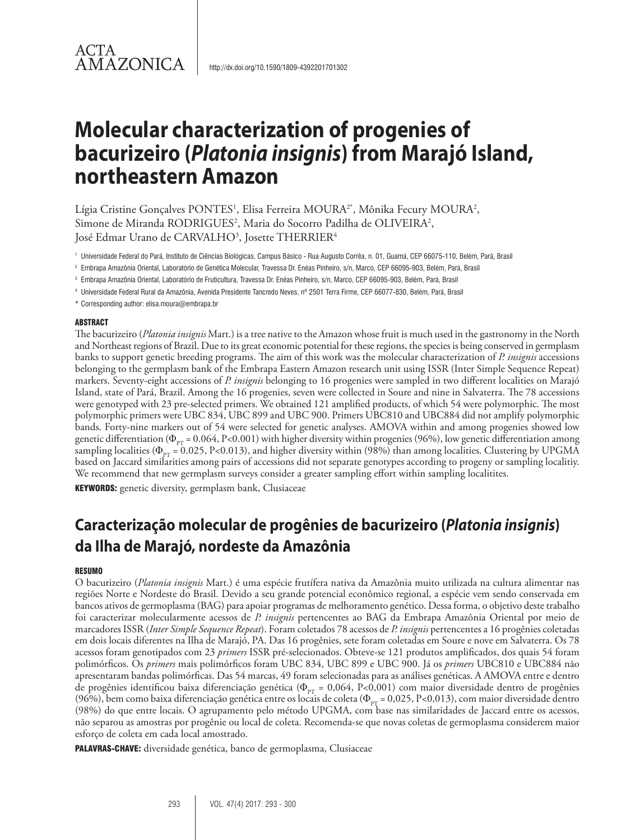## ACTA **AMAZONICA**

# **Molecular characterization of progenies of bacurizeiro (***Platonia insignis***) from Marajó Island, northeastern Amazon**

 $L$ ígia Cristine Gonçalves PONTES<sup>1</sup>, Elisa Ferreira MOURA<sup>2\*</sup>, Mônika Fecury MOURA<sup>2</sup>, Simone de Miranda RODRIGUES<sup>2</sup>, Maria do Socorro Padilha de OLIVEIRA<sup>2</sup>, José Edmar Urano de CARVALHO $^3$ , Josette THERRIER $^4$ 

<sup>1</sup> Universidade Federal do Pará, Instituto de Ciências Biológicas, Campus Básico - Rua Augusto Corrêa, n. 01, Guamá, CEP 66075-110, Belém, Pará, Brasil

<sup>2</sup> Embrapa Amazônia Oriental, Laboratório de Genética Molecular, Travessa Dr. Enéas Pinheiro, s/n, Marco, CEP 66095-903, Belém, Pará, Brasil

<sup>3</sup> Embrapa Amazônia Oriental, Laboratório de Fruticultura, Travessa Dr. Enéas Pinheiro, s/n, Marco, CEP 66095-903, Belém, Pará, Brasil

<sup>4</sup> Universidade Federal Rural da Amazônia, Avenida Presidente Tancredo Neves, nº 2501 Terra Firme, CEP 66077-830, Belém, Pará, Brasil

\* Corresponding author: elisa.moura@embrapa.br

#### ABSTRACT

The bacurizeiro (*Platonia insignis* Mart.) is a tree native to the Amazon whose fruit is much used in the gastronomy in the North and Northeast regions of Brazil. Due to its great economic potential for these regions, the species is being conserved in germplasm banks to support genetic breeding programs. The aim of this work was the molecular characterization of *P. insignis* accessions belonging to the germplasm bank of the Embrapa Eastern Amazon research unit using ISSR (Inter Simple Sequence Repeat) markers. Seventy-eight accessions of *P. insignis* belonging to 16 progenies were sampled in two different localities on Marajó Island, state of Pará, Brazil. Among the 16 progenies, seven were collected in Soure and nine in Salvaterra. The 78 accessions were genotyped with 23 pre-selected primers. We obtained 121 amplified products, of which 54 were polymorphic. The most polymorphic primers were UBC 834, UBC 899 and UBC 900. Primers UBC810 and UBC884 did not amplify polymorphic bands. Forty-nine markers out of 54 were selected for genetic analyses. AMOVA within and among progenies showed low genetic differentiation ( $\Phi_{\text{pr}}$  = 0.064, P<0.001) with higher diversity within progenies (96%), low genetic differentiation among sampling localities ( $\Phi_{PT}$  = 0.025, P<0.013), and higher diversity within (98%) than among localities. Clustering by UPGMA based on Jaccard similarities among pairs of accessions did not separate genotypes according to progeny or sampling localitiy. We recommend that new germplasm surveys consider a greater sampling effort within sampling localitites.

KEYWORDS: genetic diversity, germplasm bank, Clusiaceae

## **Caracterização molecular de progênies de bacurizeiro (***Platonia insignis***) da Ilha de Marajó, nordeste da Amazônia**

#### **RESUMO**

O bacurizeiro (*Platonia insignis* Mart.) é uma espécie frutífera nativa da Amazônia muito utilizada na cultura alimentar nas regiões Norte e Nordeste do Brasil. Devido a seu grande potencial econômico regional, a espécie vem sendo conservada em bancos ativos de germoplasma (BAG) para apoiar programas de melhoramento genético. Dessa forma, o objetivo deste trabalho foi caracterizar molecularmente acessos de *P. insignis* pertencentes ao BAG da Embrapa Amazônia Oriental por meio de marcadores ISSR (*Inter Simple Sequence Repeat*). Foram coletados 78 acessos de *P. insignis* pertencentes a 16 progênies coletadas em dois locais diferentes na Ilha de Marajó, PA. Das 16 progênies, sete foram coletadas em Soure e nove em Salvaterra. Os 78 acessos foram genotipados com 23 *primers* ISSR pré-selecionados. Obteve-se 121 produtos amplificados, dos quais 54 foram polimórficos. Os *primers* mais polimórficos foram UBC 834, UBC 899 e UBC 900. Já os *primers* UBC810 e UBC884 não apresentaram bandas polimórficas. Das 54 marcas, 49 foram selecionadas para as análises genéticas. A AMOVA entre e dentro de progênies identificou baixa diferenciação genética (Φ<sub>PT</sub> = 0,064, P<0,001) com maior diversidade dentro de progênies (96%), bem como baixa diferenciação genética entre os locais de coleta ( $\Phi_{\text{PT}}$  = 0,025, P<0,013), com maior diversidade dentro (98%) do que entre locais. O agrupamento pelo método UPGMA, com base nas similaridades de Jaccard entre os acessos, não separou as amostras por progênie ou local de coleta. Recomenda-se que novas coletas de germoplasma considerem maior esforço de coleta em cada local amostrado.

PALAVRAS-CHAVE: diversidade genética, banco de germoplasma, Clusiaceae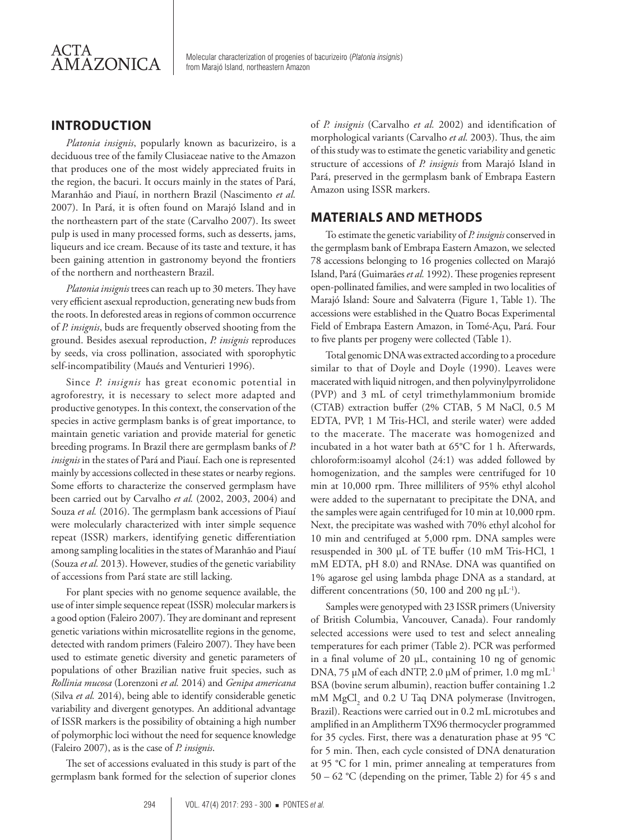

## **INTRODUCTION**

*Platonia insignis*, popularly known as bacurizeiro, is a deciduous tree of the family Clusiaceae native to the Amazon that produces one of the most widely appreciated fruits in the region, the bacuri. It occurs mainly in the states of Pará, Maranhão and Piauí, in northern Brazil (Nascimento *et al.* 2007). In Pará, it is often found on Marajó Island and in the northeastern part of the state (Carvalho 2007). Its sweet pulp is used in many processed forms, such as desserts, jams, liqueurs and ice cream. Because of its taste and texture, it has been gaining attention in gastronomy beyond the frontiers of the northern and northeastern Brazil.

*Platonia insignis* trees can reach up to 30 meters. They have very efficient asexual reproduction, generating new buds from the roots. In deforested areas in regions of common occurrence of *P. insignis*, buds are frequently observed shooting from the ground. Besides asexual reproduction, *P. insignis* reproduces by seeds, via cross pollination, associated with sporophytic self-incompatibility (Maués and Venturieri 1996).

Since *P. insignis* has great economic potential in agroforestry, it is necessary to select more adapted and productive genotypes. In this context, the conservation of the species in active germplasm banks is of great importance, to maintain genetic variation and provide material for genetic breeding programs. In Brazil there are germplasm banks of *P. insignis* in the states of Pará and Piauí. Each one is represented mainly by accessions collected in these states or nearby regions. Some efforts to characterize the conserved germplasm have been carried out by Carvalho *et al.* (2002, 2003, 2004) and Souza *et al.* (2016). The germplasm bank accessions of Piauí were molecularly characterized with inter simple sequence repeat (ISSR) markers, identifying genetic differentiation among sampling localities in the states of Maranhão and Piauí (Souza *et al.* 2013). However, studies of the genetic variability of accessions from Pará state are still lacking.

For plant species with no genome sequence available, the use of inter simple sequence repeat (ISSR) molecular markers is a good option (Faleiro 2007). They are dominant and represent genetic variations within microsatellite regions in the genome, detected with random primers (Faleiro 2007). They have been used to estimate genetic diversity and genetic parameters of populations of other Brazilian native fruit species, such as *Rollinia mucosa* (Lorenzoni *et al.* 2014) and *Genipa americana* (Silva *et al.* 2014), being able to identify considerable genetic variability and divergent genotypes. An additional advantage of ISSR markers is the possibility of obtaining a high number of polymorphic loci without the need for sequence knowledge (Faleiro 2007), as is the case of *P. insignis*.

The set of accessions evaluated in this study is part of the germplasm bank formed for the selection of superior clones

of *P. insignis* (Carvalho *et al.* 2002) and identification of morphological variants (Carvalho *et al.* 2003). Thus, the aim of this study was to estimate the genetic variability and genetic structure of accessions of *P. insignis* from Marajó Island in Pará, preserved in the germplasm bank of Embrapa Eastern Amazon using ISSR markers.

#### **MATERIALS AND METHODS**

To estimate the genetic variability of *P. insignis* conserved in the germplasm bank of Embrapa Eastern Amazon, we selected 78 accessions belonging to 16 progenies collected on Marajó Island, Pará (Guimarães *et al.* 1992). These progenies represent open-pollinated families, and were sampled in two localities of Marajó Island: Soure and Salvaterra (Figure 1, Table 1). The accessions were established in the Quatro Bocas Experimental Field of Embrapa Eastern Amazon, in Tomé-Açu, Pará. Four to five plants per progeny were collected (Table 1).

Total genomic DNA was extracted according to a procedure similar to that of Doyle and Doyle (1990). Leaves were macerated with liquid nitrogen, and then polyvinylpyrrolidone (PVP) and 3 mL of cetyl trimethylammonium bromide (CTAB) extraction buffer (2% CTAB, 5 M NaCl, 0.5 M EDTA, PVP, 1 M Tris-HCl, and sterile water) were added to the macerate. The macerate was homogenized and incubated in a hot water bath at 65°C for 1 h. Afterwards, chloroform:isoamyl alcohol (24:1) was added followed by homogenization, and the samples were centrifuged for 10 min at 10,000 rpm. Three milliliters of 95% ethyl alcohol were added to the supernatant to precipitate the DNA, and the samples were again centrifuged for 10 min at 10,000 rpm. Next, the precipitate was washed with 70% ethyl alcohol for 10 min and centrifuged at 5,000 rpm. DNA samples were resuspended in 300 μL of TE buffer (10 mM Tris-HCl, 1 mM EDTA, pH 8.0) and RNAse. DNA was quantified on 1% agarose gel using lambda phage DNA as a standard, at different concentrations (50, 100 and 200 ng  $\mu$ L<sup>-1</sup>).

Samples were genotyped with 23 ISSR primers (University of British Columbia, Vancouver, Canada). Four randomly selected accessions were used to test and select annealing temperatures for each primer (Table 2). PCR was performed in a final volume of 20 μL, containing 10 ng of genomic DNA, 75 µM of each dNTP, 2.0 µM of primer, 1.0 mg mL-1 BSA (bovine serum albumin), reaction buffer containing 1.2 mM MgCl<sub>2</sub> and 0.2 U Taq DNA polymerase (Invitrogen, Brazil). Reactions were carried out in 0.2 mL microtubes and amplified in an Amplitherm TX96 thermocycler programmed for 35 cycles. First, there was a denaturation phase at 95 °C for 5 min. Then, each cycle consisted of DNA denaturation at 95 °C for 1 min, primer annealing at temperatures from 50 – 62 °C (depending on the primer, Table 2) for 45 s and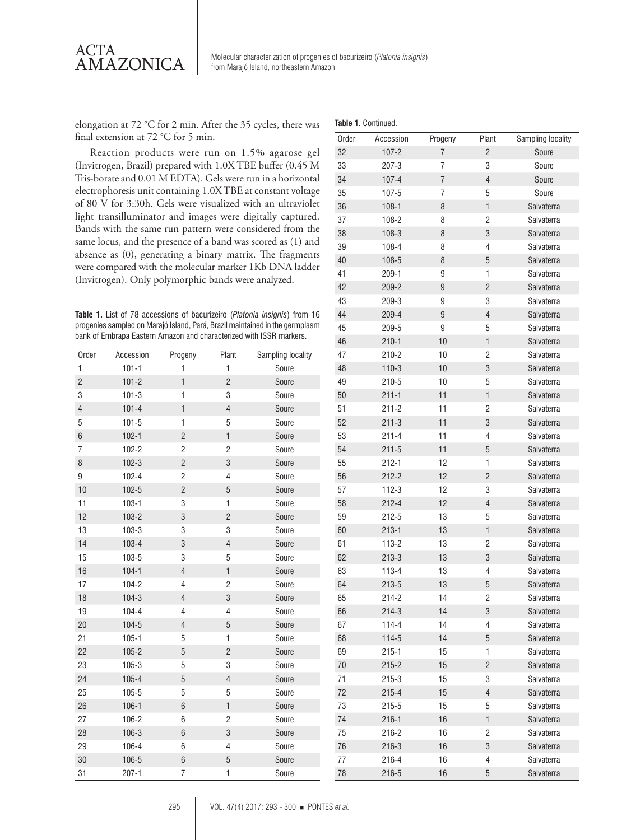

AMAZONICA Molecular characterization of progenies of bacurizeiro (*Platonia insignis*) from Marajó Island, northeastern Amazon

elongation at 72 °C for 2 min. After the 35 cycles, there was final extension at 72 °C for 5 min.

Reaction products were run on 1.5% agarose gel (Invitrogen, Brazil) prepared with 1.0X TBE buffer (0.45 M Tris-borate and 0.01 M EDTA). Gels were run in a horizontal electrophoresis unit containing 1.0X TBE at constant voltage of 80 V for 3:30h. Gels were visualized with an ultraviolet light transilluminator and images were digitally captured. Bands with the same run pattern were considered from the same locus, and the presence of a band was scored as (1) and absence as (0), generating a binary matrix. The fragments were compared with the molecular marker 1Kb DNA ladder (Invitrogen). Only polymorphic bands were analyzed.

**Table 1.** List of 78 accessions of bacurizeiro (*Platonia insignis*) from 16 progenies sampled on Marajó Island, Pará, Brazil maintained in the germplasm bank of Embrapa Eastern Amazon and characterized with ISSR markers.

|                |           |                |                |                   | 46 | 210-1     |
|----------------|-----------|----------------|----------------|-------------------|----|-----------|
| Order          | Accession | Progeny        | Plant          | Sampling locality | 47 | $210 - 2$ |
| $\mathbf{1}$   | $101 - 1$ | 1              | 1              | Soure             | 48 | $110-3$   |
| $\overline{c}$ | $101 - 2$ | $\mathbf{1}$   | $\overline{c}$ | Soure             | 49 | $210 - 5$ |
| 3              | $101 - 3$ | $\mathbf{1}$   | 3              | Soure             | 50 | $211 - 1$ |
| $\overline{4}$ | $101 - 4$ | $\mathbf{1}$   | $\overline{4}$ | Soure             | 51 | $211 - 2$ |
| 5              | $101 - 5$ | $\mathbf{1}$   | 5              | Soure             | 52 | $211 - 3$ |
| $\,6$          | $102 - 1$ | $\overline{c}$ | $\mathbf{1}$   | Soure             | 53 | $211 - 4$ |
| $\overline{7}$ | $102 - 2$ | $\overline{2}$ | $\overline{2}$ | Soure             | 54 | $211 - 5$ |
| 8              | $102 - 3$ | $\overline{c}$ | 3              | Soure             | 55 | $212 - 1$ |
| 9              | $102 - 4$ | $\overline{2}$ | $\overline{4}$ | Soure             | 56 | $212 - 2$ |
| 10             | $102 - 5$ | $\overline{c}$ | $\overline{5}$ | Soure             | 57 | $112-3$   |
| 11             | $103 - 1$ | 3              | $\mathbf{1}$   | Soure             | 58 | $212 - 4$ |
| 12             | $103 - 2$ | $\mathfrak{B}$ | $\overline{c}$ | Soure             | 59 | $212 - 5$ |
| 13             | $103 - 3$ | 3              | 3              | Soure             | 60 | $213 - 1$ |
| 14             | $103 - 4$ | 3              | $\overline{4}$ | Soure             | 61 | $113 - 2$ |
| 15             | 103-5     | 3              | 5              | Soure             | 62 | $213 - 3$ |
| 16             | $104 - 1$ | $\overline{4}$ | $\mathbf{1}$   | Soure             | 63 | 113-4     |
| 17             | 104-2     | $\overline{4}$ | $\overline{c}$ | Soure             | 64 | $213 - 5$ |
| 18             | $104-3$   | $\sqrt{4}$     | 3              | Soure             | 65 | $214 - 2$ |
| 19             | 104-4     | $\overline{4}$ | $\overline{4}$ | Soure             | 66 | $214-3$   |
| 20             | 104-5     | $\overline{4}$ | $\overline{5}$ | Soure             | 67 | $114 - 4$ |
| 21             | $105 - 1$ | 5              | $\mathbf{1}$   | Soure             | 68 | $114 - 5$ |
| 22             | $105 - 2$ | $\overline{5}$ | $\overline{c}$ | Soure             | 69 | $215 - 1$ |
| 23             | 105-3     | 5              | 3              | Soure             | 70 | $215 - 2$ |
| 24             | $105 - 4$ | $\overline{5}$ | $\overline{4}$ | Soure             | 71 | $215 - 3$ |
| 25             | $105 - 5$ | $\mathbf 5$    | 5              | Soure             | 72 | $215 - 4$ |
| 26             | $106 - 1$ | $6\phantom{a}$ | $\mathbf{1}$   | Soure             | 73 | $215 - 5$ |
| 27             | 106-2     | 6              | $\overline{c}$ | Soure             | 74 | $216 - 1$ |
| 28             | 106-3     | $6\phantom{a}$ | 3              | Soure             | 75 | $216 - 2$ |
| 29             | 106-4     | 6              | $\overline{4}$ | Soure             | 76 | $216 - 3$ |
| 30             | 106-5     | $6\,$          | $\overline{5}$ | Soure             | 77 | 216-4     |
| 31             | $207 - 1$ | $\overline{7}$ | 1              | Soure             | 78 | $216 - 5$ |

| Table 1. Continued. |           |         |                |                   |  |  |
|---------------------|-----------|---------|----------------|-------------------|--|--|
| Order               | Accession | Progeny | Plant          | Sampling locality |  |  |
| 32                  | $107 - 2$ | 7       | $\overline{c}$ | Soure             |  |  |
| 33                  | $207 - 3$ | 7       | 3              | Soure             |  |  |
| 34                  | $107 - 4$ | 7       | $\overline{4}$ | Soure             |  |  |
| 35                  | $107 - 5$ | 7       | 5              | Soure             |  |  |
| 36                  | $108 - 1$ | 8       | $\mathbf{1}$   | Salvaterra        |  |  |
| 37                  | 108-2     | 8       | $\overline{c}$ | Salvaterra        |  |  |
| 38                  | 108-3     | 8       | 3              | Salvaterra        |  |  |
| 39                  | $108 - 4$ | 8       | 4              | Salvaterra        |  |  |
| 40                  | 108-5     | 8       | 5              | Salvaterra        |  |  |
| 41                  | $209-1$   | 9       | $\mathbf{1}$   | Salvaterra        |  |  |
| 42                  | $209 - 2$ | 9       | $\overline{c}$ | Salvaterra        |  |  |
| 43                  | 209-3     | 9       | 3              | Salvaterra        |  |  |
| 44                  | 209-4     | 9       | $\overline{4}$ | Salvaterra        |  |  |
| 45                  | 209-5     | 9       | 5              | Salvaterra        |  |  |
| 46                  | $210 - 1$ | 10      | $\mathbf{1}$   | Salvaterra        |  |  |
| 47                  | $210 - 2$ | 10      | 2              | Salvaterra        |  |  |
| 48                  | $110-3$   | 10      | 3              | Salvaterra        |  |  |
| 49                  | $210 - 5$ | 10      | 5              | Salvaterra        |  |  |
| 50                  | $211 - 1$ | 11      | $\mathbf{1}$   | Salvaterra        |  |  |
| 51                  | $211 - 2$ | 11      | $\overline{2}$ | Salvaterra        |  |  |
| 52                  | $211 - 3$ | 11      | 3              | Salvaterra        |  |  |
| 53                  | $211 - 4$ | 11      | 4              | Salvaterra        |  |  |
| 54                  | $211 - 5$ | 11      | 5              | Salvaterra        |  |  |
| 55                  | $212 - 1$ | 12      | 1              | Salvaterra        |  |  |
| 56                  | $212 - 2$ | 12      | $\overline{c}$ | Salvaterra        |  |  |
| 57                  | $112-3$   | 12      | 3              | Salvaterra        |  |  |
| 58                  | $212 - 4$ | 12      | $\overline{4}$ | Salvaterra        |  |  |
| 59                  | $212 - 5$ | 13      | 5              | Salvaterra        |  |  |
| 60                  | $213 - 1$ | 13      | $\mathbf{1}$   | Salvaterra        |  |  |
| 61                  | $113 - 2$ | 13      | $\overline{c}$ | Salvaterra        |  |  |
| 62                  | $213 - 3$ | 13      | 3              | Salvaterra        |  |  |
| 63                  | 113-4     | 13      | 4              | Salvaterra        |  |  |
| 64                  | $213 - 5$ | 13      | 5              | Salvaterra        |  |  |
| 65                  | $214 - 2$ | 14      | $\overline{c}$ | Salvaterra        |  |  |
| 66                  | $214 - 3$ | 14      | 3              | Salvaterra        |  |  |
| 67                  | 114-4     | 14      | $\overline{4}$ | Salvaterra        |  |  |
| 68                  | 114-5     | 14      | 5              | Salvaterra        |  |  |
| 69                  | $215 - 1$ | 15      | 1              | Salvaterra        |  |  |
| 70                  | $215 - 2$ | 15      | $\overline{c}$ | <b>Salvaterra</b> |  |  |
| 71                  | $215 - 3$ | 15      | 3              | Salvaterra        |  |  |
| 72                  | $215 - 4$ | 15      | 4              | Salvaterra        |  |  |
| 73                  | $215 - 5$ | 15      | 5              | Salvaterra        |  |  |
| 74                  | $216 - 1$ | 16      | $\mathbf{1}$   | <b>Salvaterra</b> |  |  |
| 75                  | 216-2     | 16      | 2              | Salvaterra        |  |  |
| 76                  | $216 - 3$ | 16      | 3              | Salvaterra        |  |  |
| 77                  | 216-4     | 16      | 4              | Salvaterra        |  |  |

16 5 Salvaterra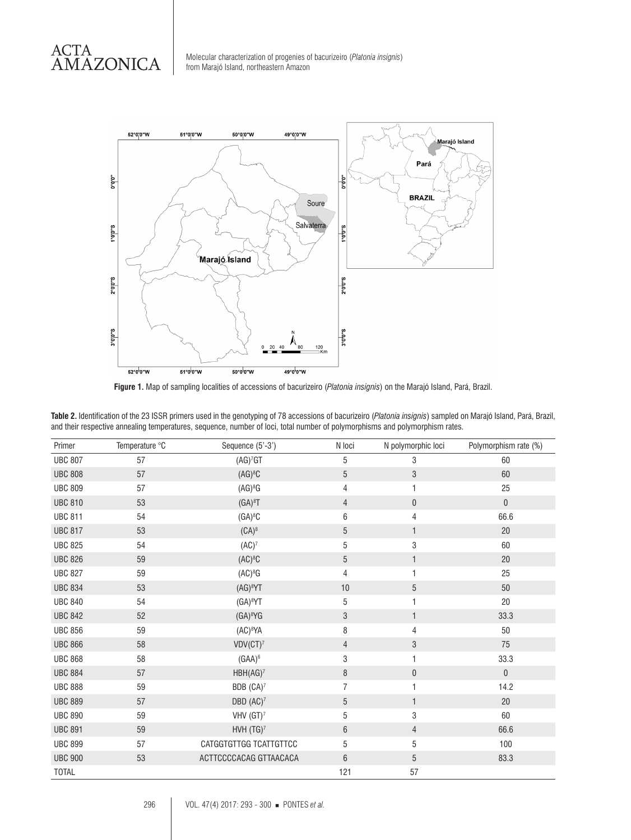

Molecular characterization of progenies of bacurizeiro (*Platonia insignis*) from Marajó Island, northeastern Amazon





| Primer         | Temperature °C | Sequence (5'-3')        | N loci         | N polymorphic loci | Polymorphism rate (%) |
|----------------|----------------|-------------------------|----------------|--------------------|-----------------------|
| <b>UBC 807</b> | 57             | $(AG)^7GT$              | 5              | 3                  | 60                    |
| <b>UBC 808</b> | 57             | $(AG)^8C$               | 5              | 3                  | 60                    |
| <b>UBC 809</b> | 57             | $(AG)^8G$               | 4              | 1                  | 25                    |
| <b>UBC 810</b> | 53             | $(GA)^8T$               | 4              | $\pmb{0}$          | $\mathbf 0$           |
| <b>UBC 811</b> | 54             | $(GA)^8C$               | 6              | 4                  | 66.6                  |
| <b>UBC 817</b> | 53             | $(CA)^8$                | 5              | 1                  | 20                    |
| <b>UBC 825</b> | 54             | $(AC)^7$                | 5              | 3                  | 60                    |
| <b>UBC 826</b> | 59             | $(AC)^8C$               | $\overline{5}$ | $\mathbf{1}$       | 20                    |
| <b>UBC 827</b> | 59             | $(AC)^8G$               | 4              | 1                  | 25                    |
| <b>UBC 834</b> | 53             | (AG) <sup>8</sup> YT    | 10             | 5                  | 50                    |
| <b>UBC 840</b> | 54             | $(GA)^8$ YT             | 5              | 1                  | 20                    |
| <b>UBC 842</b> | 52             | $(GA)^8 YG$             | 3              | $\mathbf{1}$       | 33.3                  |
| <b>UBC 856</b> | 59             | (AC) <sup>8</sup> YA    | 8              | 4                  | 50                    |
| <b>UBC 866</b> | 58             | $VDV$ (CT) <sup>7</sup> | $\overline{4}$ | 3                  | 75                    |
| <b>UBC 868</b> | 58             | $(GAA)^6$               | 3              | 1                  | 33.3                  |
| <b>UBC 884</b> | 57             | HBH(AG) <sup>7</sup>    | 8              | $\mathbf{0}$       | $\pmb{0}$             |
| <b>UBC 888</b> | 59             | BDB (CA) <sup>7</sup>   | 7              |                    | 14.2                  |
| <b>UBC 889</b> | 57             | DBD (AC) <sup>7</sup>   | 5              | $\mathbf{1}$       | 20                    |
| <b>UBC 890</b> | 59             | VHV $(GT)^7$            | 5              | 3                  | 60                    |
| <b>UBC 891</b> | 59             | HVH $(TG)^7$            | 6              | 4                  | 66.6                  |
| <b>UBC 899</b> | 57             | CATGGTGTTGG TCATTGTTCC  | 5              | 5                  | 100                   |
| <b>UBC 900</b> | 53             | ACTTCCCCACAG GTTAACACA  | $6\phantom{1}$ | 5                  | 83.3                  |
| <b>TOTAL</b>   |                |                         | 121            | 57                 |                       |

**Table 2.** Identification of the 23 ISSR primers used in the genotyping of 78 accessions of bacurizeiro (*Platonia insignis*) sampled on Marajó Island, Pará, Brazil, and their respective annealing temperatures, sequence, number of loci, total number of polymorphisms and polymorphism rates.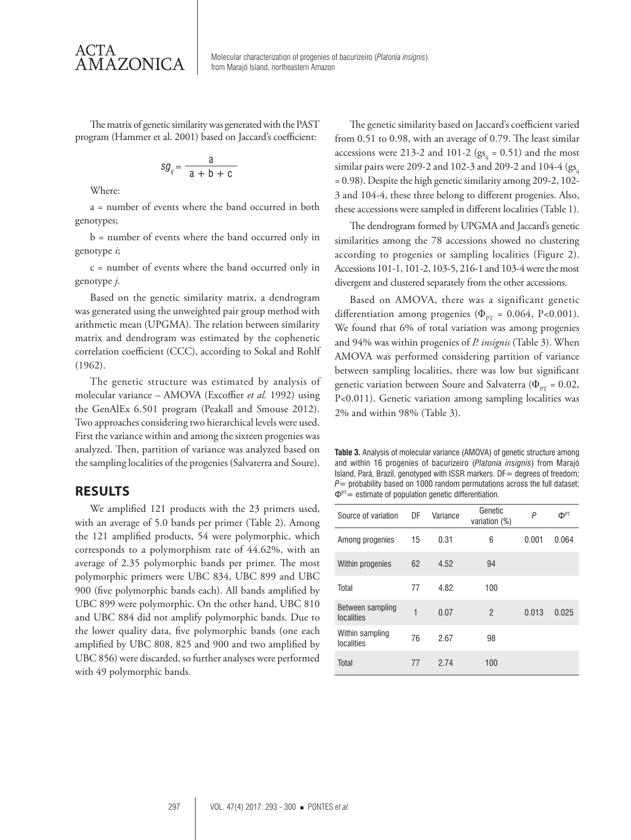

The matrix of genetic similarity was generated with the PAST program (Hammer et al. 2001) based on Jaccard's coefficient:

$$
sg_{ij} = \frac{a}{a+b+c}
$$

Where:

a = number of events where the band occurred in both genotypes;

b = number of events where the band occurred only in genotype *i*;

c = number of events where the band occurred only in genotype *j*.

Based on the genetic similarity matrix, a dendrogram was generated using the unweighted pair group method with arithmetic mean (UPGMA). The relation between similarity matrix and dendrogram was estimated by the cophenetic correlation coefficient (CCC), according to Sokal and Rohlf (1962).

The genetic structure was estimated by analysis of molecular variance – AMOVA (Excoffier *et al.* 1992) using the GenAlEx 6.501 program (Peakall and Smouse 2012). Two approaches considering two hierarchical levels were used. First the variance within and among the sixteen progenies was analyzed. Then, partition of variance was analyzed based on the sampling localities of the progenies (Salvaterra and Soure).

#### **RESULTS**

We amplified 121 products with the 23 primers used, with an average of 5.0 bands per primer (Table 2). Among the 121 amplified products, 54 were polymorphic, which corresponds to a polymorphism rate of 44.62%, with an average of 2.35 polymorphic bands per primer. The most polymorphic primers were UBC 834, UBC 899 and UBC 900 (five polymorphic bands each). All bands amplified by UBC 899 were polymorphic. On the other hand, UBC 810 and UBC 884 did not amplify polymorphic bands. Due to the lower quality data, five polymorphic bands (one each amplified by UBC 808, 825 and 900 and two amplified by UBC 856) were discarded, so further analyses were performed with 49 polymorphic bands.

The genetic similarity based on Jaccard's coefficient varied from 0.51 to 0.98, with an average of 0.79. The least similar accessions were 213-2 and 101-2 ( $gs<sub>ii</sub> = 0.51$ ) and the most similar pairs were 209-2 and 102-3 and 209-2 and 104-4 (gs. = 0.98). Despite the high genetic similarity among 209-2, 102- 3 and 104-4, these three belong to different progenies. Also, these accessions were sampled in different localities (Table 1).

The dendrogram formed by UPGMA and Jaccard's genetic similarities among the 78 accessions showed no clustering according to progenies or sampling localities (Figure 2). Accessions 101-1, 101-2, 103-5, 216-1 and 103-4 were the most divergent and clustered separately from the other accessions.

Based on AMOVA, there was a significant genetic differentiation among progenies ( $\Phi_{PT}$  = 0.064, P<0.001). We found that 6% of total variation was among progenies and 94% was within progenies of *P. insignis* (Table 3). When AMOVA was performed considering partition of variance between sampling localities, there was low but significant genetic variation between Soure and Salvaterra ( $\Phi_{\text{PT}}$  = 0.02, P<0.011). Genetic variation among sampling localities was 2% and within 98% (Table 3).

**Table 3.** Analysis of molecular variance (AMOVA) of genetic structure among and within 16 progenies of bacurizeiro (*Platonia insignis*) from Marajó Island, Pará, Brazil, genotyped with ISSR markers. DF= degrees of freedom;  $P=$  probability based on 1000 random permutations across the full dataset;  $\Phi^{\text{PT}}$  = estimate of population genetic differentiation.

| Source of variation            | DF           | Variance | Genetic<br>variation (%) | P     | <b>OPT</b> |
|--------------------------------|--------------|----------|--------------------------|-------|------------|
| Among progenies                | 15           | 0.31     | 6                        | 0.001 | 0.064      |
| Within progenies               | 62           | 4.52     | 94                       |       |            |
| Total                          | 77           | 4.82     | 100                      |       |            |
| Between sampling<br>localities | $\mathbf{1}$ | 0.07     | $\mathcal{P}$            | 0.013 | 0.025      |
| Within sampling<br>localities  | 76           | 2.67     | 98                       |       |            |
| Total                          | 77           | 2.74     | 100                      |       |            |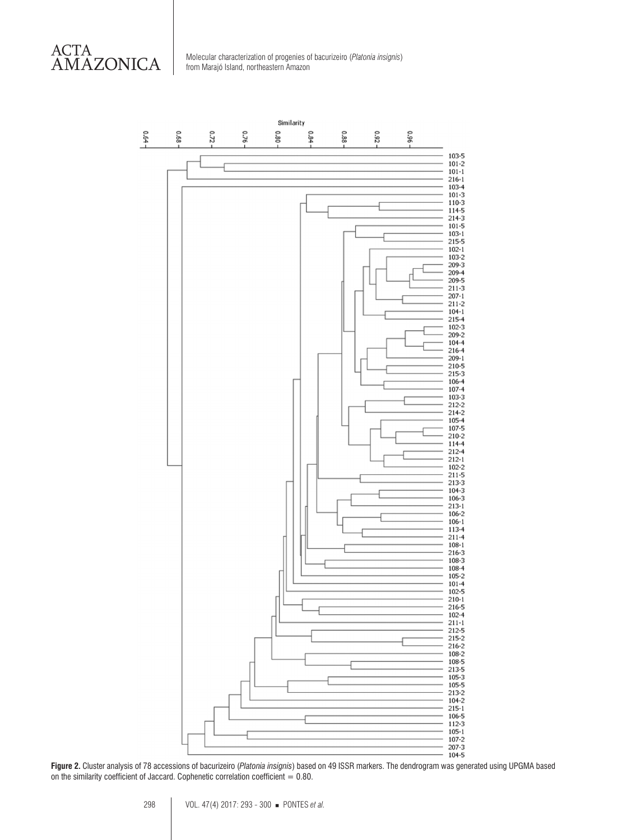

Molecular characterization of progenies of bacurizeiro (*Platonia insignis*) from Marajó Island, northeastern Amazon



**Figure 2.** Cluster analysis of 78 accessions of bacurizeiro (*Platonia insignis*) based on 49 ISSR markers. The dendrogram was generated using UPGMA based on the similarity coefficient of Jaccard. Cophenetic correlation coefficient  $= 0.80$ .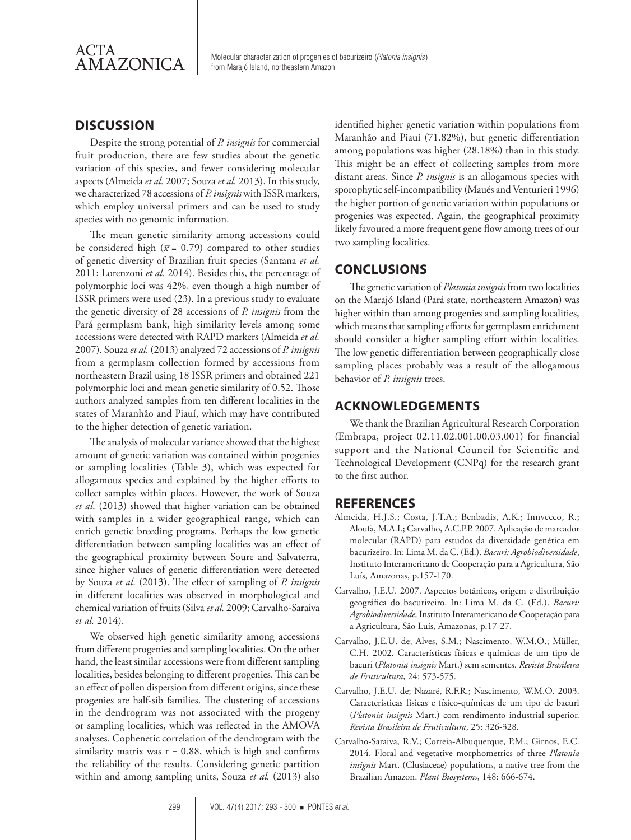

AMAZONICA Molecular characterization of progenies of bacurizeiro (*Platonia insignis*) from Marajó Island, northeastern Amazon

### **DISCUSSION**

Despite the strong potential of *P. insignis* for commercial fruit production, there are few studies about the genetic variation of this species, and fewer considering molecular aspects (Almeida *et al.* 2007; Souza *et al.* 2013). In this study, we characterized 78 accessions of *P. insignis* with ISSR markers, which employ universal primers and can be used to study species with no genomic information.

The mean genetic similarity among accessions could be considered high ( $\bar{x}$  = 0.79) compared to other studies of genetic diversity of Brazilian fruit species (Santana *et al.* 2011; Lorenzoni *et al.* 2014). Besides this, the percentage of polymorphic loci was 42%, even though a high number of ISSR primers were used (23). In a previous study to evaluate the genetic diversity of 28 accessions of *P. insignis* from the Pará germplasm bank, high similarity levels among some accessions were detected with RAPD markers (Almeida *et al.* 2007). Souza *et al.* (2013) analyzed 72 accessions of *P. insignis* from a germplasm collection formed by accessions from northeastern Brazil using 18 ISSR primers and obtained 221 polymorphic loci and mean genetic similarity of 0.52. Those authors analyzed samples from ten different localities in the states of Maranhão and Piauí, which may have contributed to the higher detection of genetic variation.

The analysis of molecular variance showed that the highest amount of genetic variation was contained within progenies or sampling localities (Table 3), which was expected for allogamous species and explained by the higher efforts to collect samples within places. However, the work of Souza *et al*. (2013) showed that higher variation can be obtained with samples in a wider geographical range, which can enrich genetic breeding programs. Perhaps the low genetic differentiation between sampling localities was an effect of the geographical proximity between Soure and Salvaterra, since higher values of genetic differentiation were detected by Souza *et al*. (2013). The effect of sampling of *P. insignis* in different localities was observed in morphological and chemical variation of fruits (Silva *et al.* 2009; Carvalho-Saraiva *et al.* 2014).

We observed high genetic similarity among accessions from different progenies and sampling localities. On the other hand, the least similar accessions were from different sampling localities, besides belonging to different progenies. This can be an effect of pollen dispersion from different origins, since these progenies are half-sib families. The clustering of accessions in the dendrogram was not associated with the progeny or sampling localities, which was reflected in the AMOVA analyses. Cophenetic correlation of the dendrogram with the similarity matrix was  $r = 0.88$ , which is high and confirms the reliability of the results. Considering genetic partition within and among sampling units, Souza et al. (2013) also

identified higher genetic variation within populations from Maranhão and Piauí (71.82%), but genetic differentiation among populations was higher (28.18%) than in this study. This might be an effect of collecting samples from more distant areas. Since *P. insignis* is an allogamous species with sporophytic self-incompatibility (Maués and Venturieri 1996) the higher portion of genetic variation within populations or progenies was expected. Again, the geographical proximity likely favoured a more frequent gene flow among trees of our two sampling localities.

## **CONCLUSIONS**

The genetic variation of *Platonia insignis* from two localities on the Marajó Island (Pará state, northeastern Amazon) was higher within than among progenies and sampling localities, which means that sampling efforts for germplasm enrichment should consider a higher sampling effort within localities. The low genetic differentiation between geographically close sampling places probably was a result of the allogamous behavior of *P. insignis* trees.

#### **ACKNOWLEDGEMENTS**

We thank the Brazilian Agricultural Research Corporation (Embrapa, project 02.11.02.001.00.03.001) for financial support and the National Council for Scientific and Technological Development (CNPq) for the research grant to the first author.

#### **REFERENCES**

- Almeida, H.J.S.; Costa, J.T.A.; Benbadis, A.K.; Innvecco, R.; Aloufa, M.A.I.; Carvalho, A.C.P.P. 2007. Aplicação de marcador molecular (RAPD) para estudos da diversidade genética em bacurizeiro. In: Lima M. da C. (Ed.). *Bacuri: Agrobiodiversidade*, Instituto Interamericano de Cooperação para a Agricultura, São Luís, Amazonas, p.157-170.
- Carvalho, J.E.U. 2007. Aspectos botânicos, origem e distribuição geográfica do bacurizeiro. In: Lima M. da C. (Ed.). *Bacuri: Agrobiodiversidade,* Instituto Interamericano de Cooperação para a Agricultura, São Luís, Amazonas, p.17-27.
- Carvalho, J.E.U. de; Alves, S.M.; Nascimento, W.M.O.; Müller, C.H. 2002. Características físicas e químicas de um tipo de bacuri (*Platonia insignis* Mart.) sem sementes. *Revista Brasileira de Fruticultura*, 24: 573-575.
- Carvalho, J.E.U. de; Nazaré, R.F.R.; Nascimento, W.M.O. 2003. Características físicas e físico-químicas de um tipo de bacuri (*Platonia insignis* Mart.) com rendimento industrial superior. *Revista Brasileira de Fruticultura*, 25: 326-328.
- Carvalho-Saraiva, R.V.; Correia-Albuquerque, P.M.; Girnos, E.C. 2014. Floral and vegetative morphometrics of three *Platonia insignis* Mart. (Clusiaceae) populations, a native tree from the Brazilian Amazon. *Plant Biosystems*, 148: 666-674.